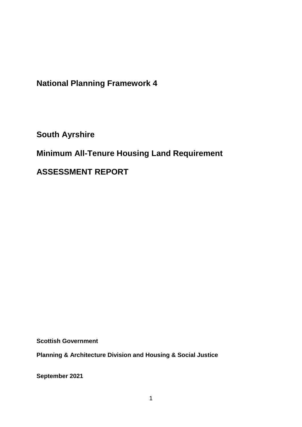**National Planning Framework 4**

**South Ayrshire**

## **Minimum All-Tenure Housing Land Requirement**

**ASSESSMENT REPORT**

**Scottish Government**

**Planning & Architecture Division and Housing & Social Justice** 

**September 2021**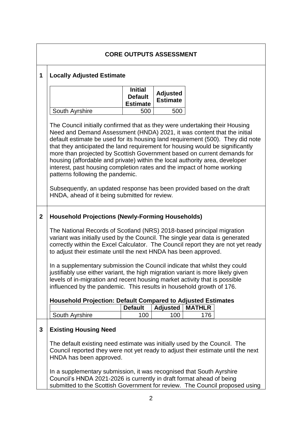|                |                                                                                                                                                                                                                                                                                                                                                                                                                                                                                                                                                                                                                                                                                                                              | <b>CORE OUTPUTS ASSESSMENT</b>                      |                                    |                      |  |
|----------------|------------------------------------------------------------------------------------------------------------------------------------------------------------------------------------------------------------------------------------------------------------------------------------------------------------------------------------------------------------------------------------------------------------------------------------------------------------------------------------------------------------------------------------------------------------------------------------------------------------------------------------------------------------------------------------------------------------------------------|-----------------------------------------------------|------------------------------------|----------------------|--|
| 1              | <b>Locally Adjusted Estimate</b>                                                                                                                                                                                                                                                                                                                                                                                                                                                                                                                                                                                                                                                                                             |                                                     |                                    |                      |  |
|                |                                                                                                                                                                                                                                                                                                                                                                                                                                                                                                                                                                                                                                                                                                                              | <b>Initial</b><br><b>Default</b><br><b>Estimate</b> | <b>Adjusted</b><br><b>Estimate</b> |                      |  |
|                | South Ayrshire                                                                                                                                                                                                                                                                                                                                                                                                                                                                                                                                                                                                                                                                                                               | 500                                                 | 500                                |                      |  |
|                | The Council initially confirmed that as they were undertaking their Housing<br>Need and Demand Assessment (HNDA) 2021, it was content that the initial<br>default estimate be used for its housing land requirement (500). They did note<br>that they anticipated the land requirement for housing would be significantly<br>more than projected by Scottish Government based on current demands for<br>housing (affordable and private) within the local authority area, developer<br>interest, past housing completion rates and the impact of home working<br>patterns following the pandemic.<br>Subsequently, an updated response has been provided based on the draft<br>HNDA, ahead of it being submitted for review. |                                                     |                                    |                      |  |
| $\overline{2}$ | <b>Household Projections (Newly-Forming Households)</b>                                                                                                                                                                                                                                                                                                                                                                                                                                                                                                                                                                                                                                                                      |                                                     |                                    |                      |  |
|                | The National Records of Scotland (NRS) 2018-based principal migration<br>variant was initially used by the Council. The single year data is generated<br>correctly within the Excel Calculator. The Council report they are not yet ready<br>to adjust their estimate until the next HNDA has been approved.                                                                                                                                                                                                                                                                                                                                                                                                                 |                                                     |                                    |                      |  |
|                | In a supplementary submission the Council indicate that whilst they could<br>justifiably use either variant, the high migration variant is more likely given<br>levels of in-migration and recent housing market activity that is possible<br>influenced by the pandemic. This results in household growth of 176.                                                                                                                                                                                                                                                                                                                                                                                                           |                                                     |                                    |                      |  |
|                | <b>Household Projection: Default Compared to Adjusted Estimates</b>                                                                                                                                                                                                                                                                                                                                                                                                                                                                                                                                                                                                                                                          |                                                     |                                    |                      |  |
|                | South Ayrshire                                                                                                                                                                                                                                                                                                                                                                                                                                                                                                                                                                                                                                                                                                               | <b>Default</b><br>100                               | <b>Adjusted</b><br>100             | <b>MATHLR</b><br>176 |  |
| 3              | <b>Existing Housing Need</b>                                                                                                                                                                                                                                                                                                                                                                                                                                                                                                                                                                                                                                                                                                 |                                                     |                                    |                      |  |
|                | The default existing need estimate was initially used by the Council. The<br>Council reported they were not yet ready to adjust their estimate until the next<br>HNDA has been approved.                                                                                                                                                                                                                                                                                                                                                                                                                                                                                                                                     |                                                     |                                    |                      |  |
|                | In a supplementary submission, it was recognised that South Ayrshire<br>Council's HNDA 2021-2026 is currently in draft format ahead of being<br>submitted to the Scottish Government for review. The Council proposed using                                                                                                                                                                                                                                                                                                                                                                                                                                                                                                  |                                                     |                                    |                      |  |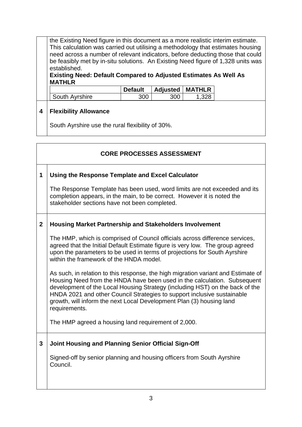the Existing Need figure in this document as a more realistic interim estimate. This calculation was carried out utilising a methodology that estimates housing need across a number of relevant indicators, before deducting those that could be feasibly met by in-situ solutions. An Existing Need figure of 1,328 units was established.

## **Existing Need: Default Compared to Adjusted Estimates As Well As MATHLR**

|                | <b>Default</b> | <b>Adjusted   MATHLR</b> |  |
|----------------|----------------|--------------------------|--|
| South Avrshire |                |                          |  |

## **4 Flexibility Allowance**

South Ayrshire use the rural flexibility of 30%.

|                | <b>CORE PROCESSES ASSESSMENT</b>                                                                                                                                                                                                                                                                                                                                                                                  |
|----------------|-------------------------------------------------------------------------------------------------------------------------------------------------------------------------------------------------------------------------------------------------------------------------------------------------------------------------------------------------------------------------------------------------------------------|
| $\mathbf 1$    | Using the Response Template and Excel Calculator                                                                                                                                                                                                                                                                                                                                                                  |
|                | The Response Template has been used, word limits are not exceeded and its<br>completion appears, in the main, to be correct. However it is noted the<br>stakeholder sections have not been completed.                                                                                                                                                                                                             |
| $\overline{2}$ | <b>Housing Market Partnership and Stakeholders Involvement</b>                                                                                                                                                                                                                                                                                                                                                    |
|                | The HMP, which is comprised of Council officials across difference services,<br>agreed that the Initial Default Estimate figure is very low. The group agreed<br>upon the parameters to be used in terms of projections for South Ayrshire<br>within the framework of the HNDA model.                                                                                                                             |
|                | As such, in relation to this response, the high migration variant and Estimate of<br>Housing Need from the HNDA have been used in the calculation. Subsequent<br>development of the Local Housing Strategy (including HST) on the back of the<br>HNDA 2021 and other Council Strategies to support inclusive sustainable<br>growth, will inform the next Local Development Plan (3) housing land<br>requirements. |
|                | The HMP agreed a housing land requirement of 2,000.                                                                                                                                                                                                                                                                                                                                                               |
| 3              | Joint Housing and Planning Senior Official Sign-Off                                                                                                                                                                                                                                                                                                                                                               |
|                | Signed-off by senior planning and housing officers from South Ayrshire<br>Council.                                                                                                                                                                                                                                                                                                                                |
|                |                                                                                                                                                                                                                                                                                                                                                                                                                   |